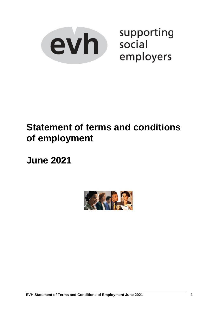

supporting employers

# **Statement of terms and conditions of employment**

**June 2021**

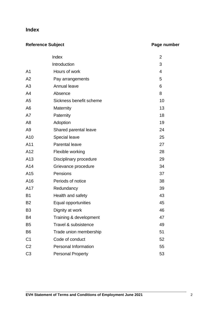### **Index**

### **Reference Subject Page number**

|                | Index                       | 2  |
|----------------|-----------------------------|----|
|                | Introduction                | 3  |
| A <sub>1</sub> | Hours of work               | 4  |
| A2             | Pay arrangements            | 5  |
| A3             | Annual leave                | 6  |
| A4             | Absence                     | 8  |
| A <sub>5</sub> | Sickness benefit scheme     | 10 |
| A <sub>6</sub> | Maternity                   | 13 |
| A7             | Paternity                   | 18 |
| A <sub>8</sub> | Adoption                    | 19 |
| A <sub>9</sub> | Shared parental leave       | 24 |
| A10            | <b>Special leave</b>        | 25 |
| A11            | <b>Parental leave</b>       | 27 |
| A12            | Flexible working            | 28 |
| A13            | Disciplinary procedure      | 29 |
| A14            | Grievance procedure         | 34 |
| A15            | Pensions                    | 37 |
| A16            | Periods of notice           | 38 |
| A17            | Redundancy                  | 39 |
| <b>B1</b>      | Health and safety           | 43 |
| B <sub>2</sub> | Equal opportunities         | 45 |
| B <sub>3</sub> | Dignity at work             | 46 |
| <b>B4</b>      | Training & development      | 47 |
| B <sub>5</sub> | Travel & subsistence        | 49 |
| B <sub>6</sub> | Trade union membership      | 51 |
| C <sub>1</sub> | Code of conduct             | 52 |
| C <sub>2</sub> | <b>Personal Information</b> | 55 |
| C <sub>3</sub> | <b>Personal Property</b>    | 53 |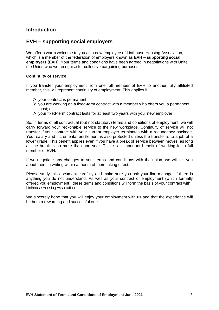### **Introduction**

### **EVH – supporting social employers**

We offer a warm welcome to you as a new employee of Linthouse Housing Association, which is a member of the federation of employers known as **EVH – supporting social employers (EVH).** Your terms and conditions have been agreed in negotiations with Unite the Union who we recognise for collective bargaining purposes.

#### **Continuity of service**

If you transfer your employment from one full member of EVH to another fully affiliated member, this will represent continuity of employment. This applies if:

- > your contract is permanent;
- > you are working on a fixed-term contract with a member who offers you a permanent post; or
- > your fixed-term contract lasts for at least two years with your new employer.

So, in terms of all contractual (but not statutory) terms and conditions of employment, we will carry forward your reckonable service to the new workplace. Continuity of service will not transfer if your contract with your current employer terminates with a redundancy package. Your salary and incremental entitlement is also protected unless the transfer is to a job of a lower grade. This benefit applies even if you have a break of service between moves, as long as the break is no more than one year. This is an important benefit of working for a full member of EVH.

If we negotiate any changes to your terms and conditions with the union, we will tell you about them in writing within a month of them taking effect.

Please study this document carefully and make sure you ask your line manager if there is anything you do not understand. As well as your contract of employment (which formally offered you employment), these terms and conditions will form the basis of your contract with Linthouse Housing Association.

We sincerely hope that you will enjoy your employment with us and that the experience will be both a rewarding and successful one.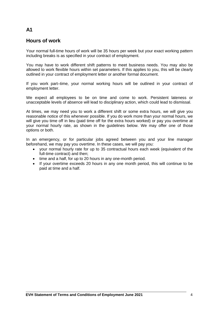### **Hours of work**

Your normal full-time hours of work will be 35 hours per week but your exact working pattern including breaks is as specified in your contract of employment.

You may have to work different shift patterns to meet business needs. You may also be allowed to work flexible hours within set parameters. If this applies to you, this will be clearly outlined in your contract of employment letter or another formal document.

If you work part–time, your normal working hours will be outlined in your contract of employment letter.

We expect all employees to be on time and come to work. Persistent lateness or unacceptable levels of absence will lead to disciplinary action, which could lead to dismissal.

At times, we may need you to work a different shift or some extra hours, we will give you reasonable notice of this whenever possible. If you do work more than your normal hours, we will give you time off in lieu (paid time off for the extra hours worked) or pay you overtime at your normal hourly rate, as shown in the guidelines below. We may offer one of those options or both.

In an emergency, or for particular jobs agreed between you and your line manager beforehand, we may pay you overtime. In these cases, we will pay you:

- your normal hourly rate for up to 35 contractual hours each week (equivalent of the full-time contract) and then;
- time and a half, for up to 20 hours in any one-month period.
- If your overtime exceeds 20 hours in any one month period, this will continue to be paid at time and a half.

### **A1**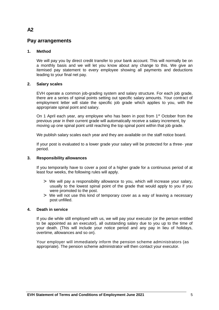### **Pay arrangements**

#### **1. Method**

We will pay you by direct credit transfer to your bank account. This will normally be on a monthly basis and we will let you know about any change to this. We give an itemised pay statement to every employee showing all payments and deductions leading to your final net pay.

#### **2. Salary scales**

EVH operate a common job-grading system and salary structure. For each job grade, there are a series of spinal points setting out specific salary amounts. Your contract of employment letter will state the specific job grade which applies to you, with the appropriate spinal point and salary.

On 1 April each year, any employee who has been in post from  $1<sup>st</sup>$  October from the previous year in their current grade will automatically receive a salary increment, by moving up one spinal point until reaching the top spinal point within that job grade.

We publish salary scales each year and they are available on the staff notice board.

If your post is evaluated to a lower grade your salary will be protected for a three- year period.

#### **3. Responsibility allowances**

If you temporarily have to cover a post of a higher grade for a continuous period of at least four weeks, the following rules will apply.

- > We will pay a responsibility allowance to you, which will increase your salary, usually to the lowest spinal point of the grade that would apply to you if you were promoted to the post.
- > We will not use this kind of temporary cover as a way of leaving a necessary post unfilled.

#### **4. Death in service**

If you die while still employed with us, we will pay your executor (or the person entitled to be appointed as an executor), all outstanding salary due to you up to the time of your death. (This will include your notice period and any pay in lieu of holidays, overtime, allowances and so on).

Your employer will immediately inform the pension scheme administrators (as appropriate). The pension scheme administrator will then contact your executor.

### **A2**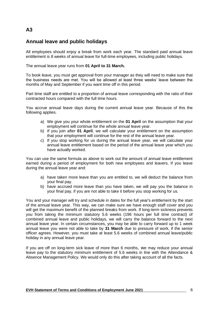### **Annual leave and public holidays**

All employees should enjoy a break from work each year. The standard paid annual leave entitlement is 8 weeks of annual leave for full-time employees, including public holidays.

The annual leave year runs from **01 April to 31 March.**

To book leave, you must get approval from your manager as they will need to make sure that the business needs are met. You will be allowed at least three weeks' leave between the months of May and September if you want time off in this period.

Part time staff are entitled to a proportion of annual leave corresponding with the ratio of their contracted hours compared with the full time hours.

You accrue annual leave days during the current annual leave year. Because of this the following applies.

- a) We give you your whole entitlement on the **01 April** on the assumption that your employment will continue for the whole annual leave year.
- b) If you join after **01 April**, we will calculate your entitlement on the assumption that your employment will continue for the rest of the annual leave year.
- c) If you stop working for us during the annual leave year, we will calculate your annual leave entitlement based on the period of the annual leave year which you have actually worked.

You can use the same formula as above to work out the amount of annual leave entitlement earned during a period of employment for both new employees and leavers. If you leave during the annual leave year and:

- a) have taken more leave than you are entitled to, we will deduct the balance from your final pay.
- b) have accrued more leave than you have taken, we will pay you the balance in your final pay, if you are not able to take it before you stop working for us.

You and your manager will try and schedule in dates for the full year's entitlement by the start of the annual leave year. This way, we can make sure we have enough staff cover and you will get the maximum benefit of the planned breaks from work. If long-term sickness prevents you from taking the minimum statutory 5.6 weeks (196 hours per full time contract) of combined annual leave and public holidays, we will carry the balance forward to the next annual leave year. In certain circumstances, you may be able to carry forward up to 1 week annual leave you were not able to take by **31 March** due to pressure of work, if the senior officer agrees. However, you must take at least 5.6 weeks of combined annual leave/public holiday in any annual leave year.

If you are off on long-term sick leave of more than 6 months, we may reduce your annual leave pay to the statutory minimum entitlement of 5.6 weeks in line with the Attendance & Absence Management Policy. We would only do this after taking account of all the facts.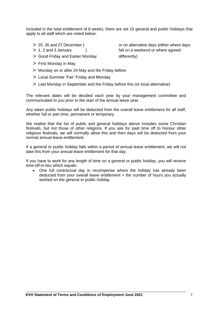Included in the total entitlement of 8 weeks, there are set 15 general and public holidays that apply to all staff which are noted below:

- 
- 
- > Good Friday and Easter Monday differently)
- > First Monday in May
- > Monday on or after 24 May and the Friday before
- > Local Summer 'Fair' Friday and Monday
- > Last Monday in September and the Friday before this (or local alternative)

The relevant dates will be decided each year by your management committee and communicated to you prior to the start of the annual leave year.

Any taken public holidays will be deducted from the overall leave entitlement for all staff, whether full or part time, permanent or temporary.

We realise that the list of public and general holidays above includes some Christian festivals, but not those of other religions. If you ask for paid time off to honour other religious festivals, we will normally allow this and then days will be deducted from your normal annual leave entitlement.

If a general or public holiday falls within a period of annual leave entitlement, we will not take this from your annual leave entitlement for that day.

If you have to work for any length of time on a general or public holiday, you will receive time-off-in-lieu which equals:

• One full contractual day in recompense where the holiday has already been deducted from your overall leave entitlement + the number of hours you actually worked on the general or public holiday.

> 25, 26 and 27 December } or on alternative days (either where days > 1, 2 and 3 January } fall on a weekend or where agreed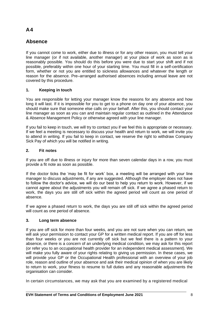### **Absence**

If you cannot come to work, either due to illness or for any other reason, you must tell your line manager (or if not available, another manager) at your place of work as soon as is reasonably possible. You should do this before you were due to start your shift and if not possible, preferably within one hour of your starting time. You must fill in a self-certification form, whether or not you are entitled to sickness allowances and whatever the length or reason for the absence. Pre–arranged authorised absences including annual leave are not covered by this procedure.

#### **1. Keeping in touch**

You are responsible for letting your manager know the reasons for any absence and how long it will last. If it is impossible for you to get to a phone on day one of your absence, you should make sure that someone else calls on your behalf. After this, you should contact your line manager as soon as you can and maintain regular contact as outlined in the Attendance & Absence Management Policy or otherwise agreed with your line manager.

If you fail to keep in touch, we will try to contact you if we feel this is appropriate or necessary. If we feel a meeting is necessary to discuss your health and return to work, we will invite you to attend in writing. If you fail to keep in contact, we reserve the right to withdraw Company Sick Pay of which you will be notified in writing.

#### **2. Fit notes**

If you are off due to illness or injury for more than seven calendar days in a row, you must provide a fit note as soon as possible.

If the doctor ticks the 'may be fit for work' box, a meeting will be arranged with your line manager to discuss adjustments, if any are suggested. Although the employer does not have to follow the doctor's advice, we will do our best to help you return to work. However, if we cannot agree about the adjustments you will remain off sick. If we agree a phased return to work, the days you are still off sick within the agreed period will count as one period of absence.

If we agree a phased return to work, the days you are still off sick within the agreed period will count as one period of absence.

#### **3. Long term absence**

If you are off sick for more than four weeks, and you are not sure when you can return, we will ask your permission to contact your GP for a written medical report. If you are off for less than four weeks or you are not currently off sick but we feel there is a pattern to your absence, or there is a concern of an underlying medical condition, we may ask for this report (or refer you to an occupational health provider for an independent medical assessment). We will make you fully aware of your rights relating to giving us permission. In these cases, we will provide your GP or the Occupational Health professional with an overview of your job role, reason and outline of your absence and ask their medical opinion of when you are likely to return to work, your fitness to resume to full duties and any reasonable adjustments the organisation can consider.

In certain circumstances, we may ask that you are examined by a registered medical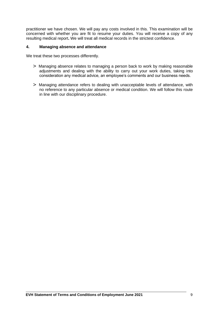practitioner we have chosen. We will pay any costs involved in this. This examination will be concerned with whether you are fit to resume your duties. You will receive a copy of any resulting medical report**.** We will treat all medical records in the strictest confidence.

#### **4. Managing absence and attendance**

We treat these two processes differently.

- > Managing absence relates to managing a person back to work by making reasonable adjustments and dealing with the ability to carry out your work duties, taking into consideration any medical advice, an employee's comments and our business needs.
- > Managing attendance refers to dealing with unacceptable levels of attendance, with no reference to any particular absence or medical condition. We will follow this route in line with our disciplinary procedure.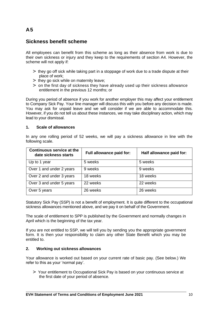### **Sickness benefit scheme**

All employees can benefit from this scheme as long as their absence from work is due to their own sickness or injury and they keep to the requirements of section A4. However, the scheme will not apply if:

- > they go off sick while taking part in a stoppage of work due to a trade dispute at their place of work;
- > they go sick while on maternity leave;
- > on the first day of sickness they have already used up their sickness allowance entitlement in the previous 12 months; or

During you period of absence if you work for another employer this may affect your entitlement to Company Sick Pay. Your line manager will discuss this with you before any decision is made. You may ask for unpaid leave and we will consider if we are able to accommodate this. However, if you do not tell us about these instances, we may take disciplinary action, which may lead to your dismissal.

#### **1. Scale of allowances**

In any one rolling period of 52 weeks, we will pay a sickness allowance in line with the following scale.

| <b>Continuous service at the</b><br>date sickness starts | Full allowance paid for: | Half allowance paid for: |
|----------------------------------------------------------|--------------------------|--------------------------|
| Up to 1 year                                             | 5 weeks                  | 5 weeks                  |
| Over 1 and under 2 years                                 | 9 weeks                  | 9 weeks                  |
| Over 2 and under 3 years                                 | 18 weeks                 | 18 weeks                 |
| Over 3 and under 5 years                                 | 22 weeks                 | 22 weeks                 |
| Over 5 years                                             | 26 weeks                 | 26 weeks                 |

Statutory Sick Pay (SSP) is not a benefit of employment. It is quite different to the occupational sickness allowances mentioned above, and we pay it on behalf of the Government.

The scale of entitlement to SPP is published by the Government and normally changes in April which is the beginning of the tax year.

If you are not entitled to SSP, we will tell you by sending you the appropriate government form. It is then your responsibility to claim any other State Benefit which you may be entitled to.

#### **2. Working out sickness allowances**

Your allowance is worked out based on your current rate of basic pay. (See below.) We refer to this as your 'normal pay'.

> Your entitlement to Occupational Sick Pay is based on your continuous service at the first date of your period of absence.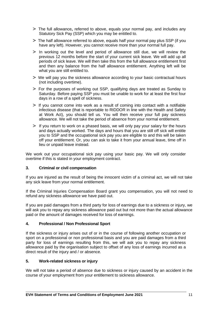- > The full allowance**,** referred to above, equals your normal pay, and includes any Statutory Sick Pay (SSP) which you may be entitled to.
- > The half allowance referred to above, equals half your normal pay plus SSP (if you have any left). However, you cannot receive more than your normal full pay.
- > In working out the level and period of allowance still due, we will review the previous 12 months before the start of your current sick leave. We will add up all periods of sick leave. We will then take this from the full allowance entitlement first and then any balance from the half allowance entitlement. Anything left will be what you are still entitled to.
- > We will pay you the sickness allowance according to your basic contractual hours (not including overtime).
- > For the purposes of working out SSP, qualifying days are treated as Sunday to Saturday. Before paying SSP you must be unable to work for at least the first four days in a row of a spell of sickness.
- > If you cannot come into work as a result of coming into contact with a notifiable infectious disease (that is reportable to RIDDOR in line with the Health and Safety at Work Act), you should tell us. You will then receive your full pay sickness allowance. We will not take the period of absence from your normal entitlement.
- > If you return to work on a phased basis, we will only pay your salary for the hours and days actually worked. The days and hours that you are still off sick will entitle you to SSP and the occupational sick pay you are eligible to and this will be taken off your entitlement. Or, you can ask to take it from your annual leave, time off in lieu or unpaid leave instead.

We work out your occupational sick pay using your basic pay. We will only consider overtime if this is stated in your employment contract.

#### **3. Criminal or civil compensation**

If you are injured as the result of being the innocent victim of a criminal act, we will not take any sick leave from your normal entitlement.

If the Criminal Injuries Compensation Board grant you compensation, you will not need to refund any sickness allowance we have paid out.

If you are paid damages from a third party for loss of earnings due to a sickness or injury, we will ask you to repay any sickness allowance paid out but not more than the actual allowance paid or the amount of damages received for loss of earnings.

#### **4. Professional / Non Professional Sport**

If the sickness or injury arises out of or in the course of following another occupation or sport on a professional or non professional basis and you are paid damages from a third party for loss of earnings resulting from this, we will ask you to repay any sickness allowance paid by the organisation subject to offset of any loss of earnings incurred as a direct result of the injury and / or absence.

#### **5. Work-related sickness or injury**

We will not take a period of absence due to sickness or injury caused by an accident in the course of your employment from your entitlement to sickness allowance.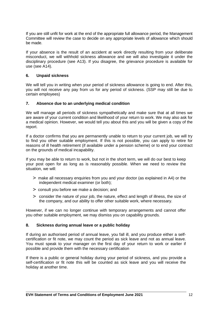If you are still unfit for work at the end of the appropriate full allowance period, the Management Committee will review the case to decide on any appropriate levels of allowance which should be made.

If your absence is the result of an accident at work directly resulting from your deliberate misconduct, we will withhold sickness allowance and we will also investigate it under the disciplinary procedure (see A13). If you disagree, the grievance procedure is available for use (see A14).

#### **6. Unpaid sickness**

We will tell you in writing when your period of sickness allowance is going to end. After this, you will not receive any pay from us for any period of sickness. (SSP may still be due to certain employees)

#### **7. Absence due to an underlying medical condition**

We will manage all periods of sickness sympathetically and make sure that at all times we are aware of your current condition and likelihood of your return to work. We may also ask for a medical opinion. However, we would tell you about this and you will be given a copy of the report.

If a doctor confirms that you are permanently unable to return to your current job, we will try to find you other suitable employment. If this is not possible, you can apply to retire for reasons of ill health retirement (if available under a pension scheme) or to end your contract on the grounds of medical incapability.

If you may be able to return to work, but not in the short term, we will do our best to keep your post open for as long as is reasonably possible. When we need to review the situation, we will:

- > make all necessary enquiries from you and your doctor (as explained in A4) or the independent medical examiner (or both);
- > consult you before we make a decision; and
- > consider the nature of your job, the nature, effect and length of illness, the size of the company, and our ability to offer other suitable work, where necessary.

However, if we can no longer continue with temporary arrangements and cannot offer you other suitable employment, we may dismiss you on capability grounds.

#### **8. Sickness during annual leave or a public holiday**

If during an authorised period of annual leave, you fall ill, and you produce either a selfcertification or fit note, we may count the period as sick leave and not as annual leave. You must speak to your manager on the first day of your return to work or earlier if possible and provide them with the necessary certification

If there is a public or general holiday during your period of sickness, and you provide a self-certification or fit note this will be counted as sick leave and you will receive the holiday at another time.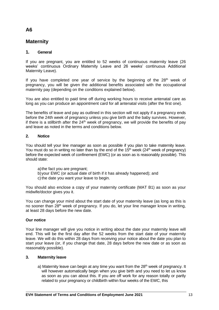### **Maternity**

#### **1. General**

If you are pregnant, you are entitled to 52 weeks of continuous maternity leave (26 weeks' continuous Ordinary Maternity Leave and 26 weeks' continuous Additional Maternity Leave).

If you have completed one year of service by the beginning of the  $28<sup>th</sup>$  week of pregnancy, you will be given the additional benefits associated with the occupational maternity pay (depending on the conditions explained below).

You are also entitled to paid time off during working hours to receive antenatal care as long as you can produce an appointment card for all antenatal visits (after the first one).

The benefits of leave and pay as outlined in this section will not apply if a pregnancy ends before the 24th week of pregnancy unless you give birth and the baby survives. However, if there is a stillbirth after the  $24<sup>th</sup>$  week of pregnancy, we will provide the benefits of pay and leave as noted in the terms and conditions below.

#### **2. Notice**

You should tell your line manager as soon as possible if you plan to take maternity leave. You must do so in writing no later than by the end of the  $15<sup>th</sup>$  week ( $24<sup>th</sup>$  week of pregnancy) before the expected week of confinement (EWC) (or as soon as is reasonably possible). This should state:

- a)the fact you are pregnant;
- b)your EWC (or actual date of birth if it has already happened); and
- c) the date you want your leave to begin.

You should also enclose a copy of your maternity certificate (MAT B1) as soon as your midwife/doctor gives you it.

You can change your mind about the start date of your maternity leave (as long as this is no sooner than 28<sup>th</sup> week of pregnancy. If you do, let your line manager know in writing, at least 28 days before the new date.

#### **Our notice**

Your line manager will give you notice in writing about the date your maternity leave will end. This will be the first day after the 52 weeks from the start date of your maternity leave. We will do this within 28 days from receiving your notice about the date you plan to start your leave (or, if you change that date, 28 days before the new date or as soon as reasonably possible).

#### **3. Maternity leave**

a) Maternity leave can begin at any time you want from the 28<sup>th</sup> week of pregnancy. It will however automatically begin when you give birth and you need to let us know as soon as you can about this. If you are off work for any reason totally or partly related to your pregnancy or childbirth within four weeks of the EWC, this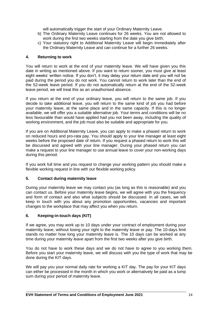will automatically trigger the start of your Ordinary Maternity Leave.

- b) The Ordinary Maternity Leave continues for 26 weeks. You are not allowed to work during the first two weeks starting from the date you give birth.
- c) Your statutory right to Additional Maternity Leave will begin immediately after the Ordinary Maternity Leave and can continue for a further 26 weeks.

#### **4. Returning to work**

You will return to work at the end of your maternity leave. We will have given you this date in writing as mentioned above. If you want to return sooner, you must give at least eight weeks' written notice. If you don't, it may delay your return date and you will not be paid during the period you do not work. You cannot return to work later than the end of the 52-week leave period. If you do not automatically return at the end of the 52-week leave period, we will treat this as an unauthorised absence.

If you return at the end of your ordinary leave, you will return to the same job. If you decide to take additional leave, you will return to the same kind of job you had before your maternity leave, at the same place and in the same capacity. If this is no longer available, we will offer you a suitable alternative job. Your terms and conditions will be no less favourable than would have applied had you not been away, including the quality of working environment, and the job must also be suitable and appropriate for you.

If you are on Additional Maternity Leave, you can apply to make a phased return to work on reduced hours and pro-rata pay. You should apply to your line manager at least eight weeks before the proposed date of return. If you request a phased return to work this will be discussed and agreed with your line manager. During your phased return you can make a request to your line manager to use annual leave to cover your non-working days during this period.

If you work full time and you request to change your working pattern you should make a flexible working request in line with our flexible working policy.

#### **5. Contact during maternity leave**

During your maternity leave we may contact you (as long as this is reasonable) and you can contact us. Before your maternity leave begins, we will agree with you the frequency and form of contact and also what subjects should be discussed. In all cases, we will keep in touch with you about any promotion opportunities, vacancies and important changes to the workplace that may affect you when you return.

#### **6. Keeping-in-touch days (KIT)**

If we agree, you may work up to 10 days under your contract of employment during your maternity leave, without losing your right to the maternity leave or pay. The 10-days limit stands no matter how long your maternity leave is. The 10 days can be worked at any time during your maternity leave apart from the first two weeks after you give birth.

You do not have to work these days and we do not have to agree to you working them. Before you start your maternity leave, we will discuss with you the type of work that may be done during the KIT days.

We will pay you your normal daily rate for working a KIT day. The pay for your KIT days can either be processed in the month in which you work or alternatively be paid as a lump sum during your period of maternity leave.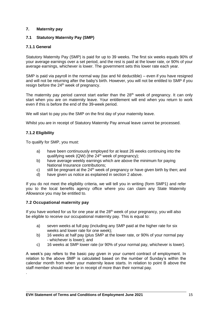#### **7. Maternity pay**

#### **7.1 Statutory Maternity Pay (SMP)**

#### **7.1.1 General**

Statutory Maternity Pay (SMP) is paid for up to 39 weeks. The first six weeks equals 90% of your average earnings over a set period, and the rest is paid at the lower rate, or 90% of your average earnings, whichever is lower. The government sets this lower rate each year.

SMP is paid via payroll in the normal way (tax and NI deductible) – even if you have resigned and will not be returning after the baby's birth. However, you will not be entitled to SMP if you resign before the 24<sup>th</sup> week of pregnancy.

The maternity pay period cannot start earlier than the  $28<sup>th</sup>$  week of pregnancy. It can only start when you are on maternity leave. Your entitlement will end when you return to work even if this is before the end of the 39-week period.

We will start to pay you the SMP on the first day of your maternity leave.

Whilst you are in receipt of Statutory Maternity Pay annual leave cannot be processed.

#### **7.1.2 Eligibility**

.

To qualify for SMP, you must:

- a) have been continuously employed for at least 26 weeks continuing into the qualifying week (QW) (the  $24<sup>th</sup>$  week of pregnancy);
- b) have average weekly earnings which are above the minimum for paying National Insurance contributions;
- c) still be pregnant at the  $24<sup>th</sup>$  week of pregnancy or have given birth by then; and
- d) have given us notice as explained in section 2 above.

If you do not meet the eligibility criteria, we will tell you in writing (form SMP1) and refer you to the local benefits agency office where you can claim any State Maternity Allowance you may be entitled to.

#### **7.2 Occupational maternity pay**

If you have worked for us for one year at the  $28<sup>th</sup>$  week of your pregnancy, you will also be eligible to receive our occupational maternity pay. This is equal to:

- a) seven weeks at full pay (including any SMP paid at the higher rate for six weeks and lower rate for one week);
- b) 16 weeks at half pay (plus SMP at the lower rate, or 90% of your normal pay - whichever is lower); and
- c) 16 weeks at SMP lower rate (or 90% of your normal pay, whichever is lower).

A week's pay refers to the basic pay given in your current contract of employment. In relation to the above SMP is calculated based on the number of Sunday's within the calendar month from when your maternity leave starts. In relation to point B above the staff member should never be in receipt of more than their normal pay.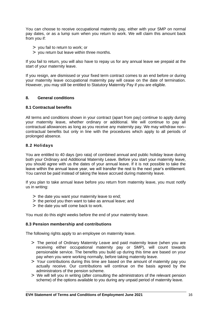You can choose to receive occupational maternity pay, either with your SMP on normal pay dates, or as a lump sum when you return to work. We will claim this amount back from you if:

- > you fail to return to work; or
- > you return but leave within three months.

If you fail to return, you will also have to repay us for any annual leave we prepaid at the start of your maternity leave.

If you resign, are dismissed or your fixed term contract comes to an end before or during your maternity leave occupational maternity pay will cease on the date of termination. However, you may still be entitled to Statutory Maternity Pay if you are eligible.

#### **8. General conditions**

#### **8.1 Contractual benefits**

All terms and conditions shown in your contract (apart from pay) continue to apply during your maternity leave, whether ordinary or additional. We will continue to pay all contractual allowances as long as you receive any maternity pay. We may withdraw non– contractual benefits but only in line with the procedures which apply to all periods of prolonged absence.

#### **8.2 Holidays**

You are entitled to 40 days (pro rata) of combined annual and public holiday leave during both your Ordinary and Additional Maternity Leave. Before you start your maternity leave, you should agree with us the dates of your annual leave. If it is not possible to take the leave within the annual leave year, we will transfer the rest to the next year's entitlement. You cannot be paid instead of taking the leave accrued during maternity leave.

If you plan to take annual leave before you return from maternity leave, you must notify us in writing:

- $>$  the date you want your maternity leave to end;
- > the period you then want to take as annual leave; and
- > the date you will come back to work.

You must do this eight weeks before the end of your maternity leave.

#### **8.3 Pension membership and contributions**

The following rights apply to an employee on maternity leave.

- > The period of Ordinary Maternity Leave and paid maternity leave (when you are receiving either occupational maternity pay or SMP), will count towards pensionable service. The benefits you build up during this time are based on your pay when you were working normally, before taking maternity leave.
- > Your contributions during this time are based on the amount of maternity pay you actually receive. Our contributions will continue on the basis agreed by the administrators of the pension scheme.
- > We will tell you in writing (after consulting the administrators of the relevant pension scheme) of the options available to you during any unpaid period of maternity leave.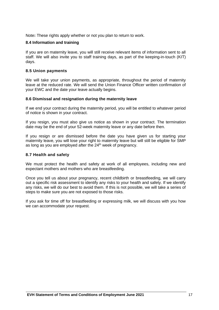Note**:** These rights apply whether or not you plan to return to work.

#### **8.4 Information and training**

If you are on maternity leave, you will still receive relevant items of information sent to all staff. We will also invite you to staff training days, as part of the keeping-in-touch (KIT) days.

#### **8.5 Union payments**

We will take your union payments, as appropriate, throughout the period of maternity leave at the reduced rate. We will send the Union Finance Officer written confirmation of your EWC and the date your leave actually begins.

#### **8.6 Dismissal and resignation during the maternity leave**

If we end your contract during the maternity period, you will be entitled to whatever period of notice is shown in your contract.

If you resign, you must also give us notice as shown in your contract. The termination date may be the end of your 52-week maternity leave or any date before then.

If you resign or are dismissed before the date you have given us for starting your maternity leave, you will lose your right to maternity leave but will still be eligible for SMP as long as you are employed after the 24<sup>th</sup> week of pregnancy.

#### **8.7 Health and safety**

We must protect the health and safety at work of all employees, including new and expectant mothers and mothers who are breastfeeding.

Once you tell us about your pregnancy, recent childbirth or breastfeeding, we will carry out a specific risk assessment to identify any risks to your health and safety. If we identify any risks, we will do our best to avoid them. If this is not possible, we will take a series of steps to make sure you are not exposed to those risks.

If you ask for time off for breastfeeding or expressing milk, we will discuss with you how we can accommodate your request.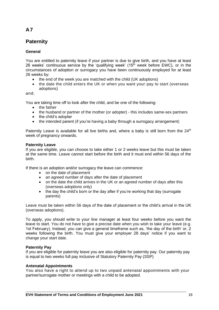### **Paternity**

#### **General**

You are entitled to paternity leave if your partner is due to give birth, and you have at least 26 weeks' continuous service by the 'qualifying week' ( $15<sup>th</sup>$  week before EWC), or in the circumstances of adoption or surrogacy you have been continuously employed for at least 26 weeks by:

- the end of the week you are matched with the child (UK adoptions)
- the date the child enters the UK or when you want your pay to start (overseas adoptions)

and;

You are taking time off to look after the child, and be one of the following:

- the father
- the husband or partner of the mother (or adopter) this includes same-sex partners
- the child's adopter
- the intended parent (if you're having a baby through a surrogacy arrangement)

Paternity Leave is available for all live births and, where a baby is still born from the 24<sup>th</sup> week of pregnancy onwards.

#### **Paternity Leave**

If you are eligible, you can choose to take either 1 or 2 weeks leave but this must be taken at the same time. Leave cannot start before the birth and it must end within 56 days of the birth.

If there is an adoption and/or surrogacy the leave can commence:

- on the date of placement
- an agreed number of days after the date of placement
- on the date the child arrives in the UK or an agreed number of days after this (overseas adoptions only)
- the day the child's born or the day after if you're working that day (surrogate parents)

Leave must be taken within 56 days of the date of placement or the child's arrival in the UK (overseas adoptions).

To apply, you should write to your line manager at least four weeks before you want the leave to start. You do not have to give a precise date when you wish to take your leave (e.g. 1st February). Instead, you can give a general timeframe such as, 'the day of the birth' or, 2 weeks following the birth. You must give your employer 28 days' notice if you want to change your start date.

#### **Paternity Pay**

If you are eligible for paternity leave you are also eligible for paternity pay. Our paternity pay is equal to two weeks full pay inclusive of Statutory Paternity Pay (SSP)

#### **Antenatal Appointments**

You also have a right to attend up to two unpaid antenatal appointments with your partner/surrogate mother or meetings with a child to be adopted.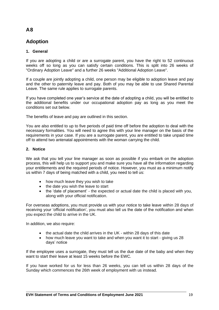### **Adoption**

#### **1. General**

If you are adopting a child or are a surrogate parent, you have the right to 52 continuous weeks off so long as you can satisfy certain conditions. This is split into 26 weeks of "Ordinary Adoption Leave" and a further 26 weeks "Additional Adoption Leave".

If a couple are jointly adopting a child, one person may be eligible to adoption leave and pay and the other to paternity leave and pay. Both of you may be able to use Shared Parental Leave. The same rule applies to surrogate parents.

If you have completed one year's service at the date of adopting a child, you will be entitled to the additional benefits under our occupational adoption pay as long as you meet the conditions set out below.

The benefits of leave and pay are outlined in this section.

You are also entitled to up to five periods of paid time off before the adoption to deal with the necessary formalities. You will need to agree this with your line manager on the basis of the requirements in your case. If you are a surrogate parent, you are entitled to take unpaid time off to attend two antenatal appointments with the woman carrying the child.

#### **2. Notice**

We ask that you tell your line manager as soon as possible if you embark on the adoption process, this will help us to support you and make sure you have all the information regarding your entitlements and the required periods of notice. However, you must as a minimum notify us within 7 days of being matched with a child, you need to tell us:

- how much leave they you wish to take
- the date you wish the leave to start
- the 'date of placement' the expected or actual date the child is placed with you, along with your official notification.

For overseas adoptions, you must provide us with your notice to take leave within 28 days of receiving your 'official notification', you must also tell us the date of the notification and when you expect the child to arrive in the UK.

In addition, we also require:

- the actual date the child arrives in the UK within 28 days of this date
- how much leave you want to take and when you want it to start giving us 28 days' notice

If the employee uses a surrogate, they must tell us the due date of the baby and when they want to start their leave at least 15 weeks before the EWC.

If you have worked for us for less than 26 weeks, you can tell us within 28 days of the Sunday which commences the 26th week of employment with us instead.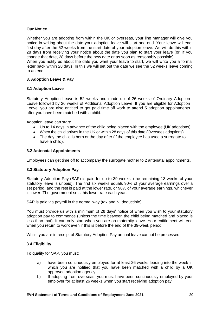#### **Our Notice**

Whether you are adopting from within the UK or overseas, your line manager will give you notice in writing about the date your adoption leave will start and end. Your leave will end, first day after the 52 weeks from the start date of your adoption leave. We will do this within 28 days from receiving your notice about the date you plan to start your leave (or, if you change that date, 28 days before the new date or as soon as reasonably possible). When you notify us about the date you want your leave to start, we will write you a formal

letter back within 28 days. In this we will set out the date we see the 52 weeks leave coming to an end.

#### **3. Adoption Leave & Pay**

#### **3.1 Adoption Leave**

Statutory Adoption Leave is 52 weeks and made up of 26 weeks of Ordinary Adoption Leave followed by 26 weeks of Additional Adoption Leave. If you are eligible for Adoption Leave, you are also entitled to get paid time off work to attend 5 adoption appointments after you have been matched with a child.

Adoption leave can start:

- Up to 14 days in advance of the child being placed with the employee (UK adoptions)
- When the child arrives in the UK or within 28 days of this date (Oversees adoptions)
- The day the child is born or the day after (if the employee has used a surrogate to have a child).

#### **3.2 Antenatal Appointments**

Employees can get time off to accompany the surrogate mother to 2 antenatal appointments.

#### **3.3 Statutory Adoption Pay**

Statutory Adoption Pay (SAP) is paid for up to 39 weeks, (the remaining 13 weeks of your statutory leave is unpaid). The first six weeks equals 90% of your average earnings over a set period, and the rest is paid at the lower rate, or 90% of your average earnings, whichever is lower. The government sets this lower rate each year.

SAP is paid via payroll in the normal way (tax and NI deductible).

You must provide us with a minimum of 28 days' notice of when you wish to your statutory adoption pay to commence (unless the time between the child being matched and placed is less than that). It can only start when you are on maternity leave. Your entitlement will end when you return to work even if this is before the end of the 39-week period.

Whilst you are in receipt of Statutory Adoption Pay annual leave cannot be processed.

#### **3.4 Eligibility**

To qualify for SAP, you must:

- a) have been continuously employed for at least 26 weeks leading into the week in which you are notified that you have been matched with a child by a UK approved adoption agency.
- b) If adopting from overseas; you must have been continuously employed by your employer for at least 26 weeks when you start receiving adoption pay.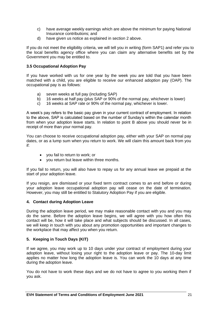- c) have average weekly earnings which are above the minimum for paying National Insurance contributions; and
- d) have given us notice as explained in section 2 above.

If you do not meet the eligibility criteria, we will tell you in writing (form SAP1) and refer you to the local benefits agency office where you can claim any alternative benefits set by the Government you may be entitled to.

#### **3.5 Occupational Adoption Pay**

If you have worked with us for one year by the week you are told that you have been matched with a child, you are eligible to receive our enhanced adoption pay (OAP). The occupational pay is as follows:

- a) seven weeks at full pay (including SAP)
- b) 16 weeks at half pay (plus SAP or 90% of the normal pay, whichever is lower)
- c) 16 weeks at SAP rate or 90% of the normal pay, whichever is lower.

A week's pay refers to the basic pay given in your current contract of employment. In relation to the above, SAP is calculated based on the number of Sunday's within the calendar month from when your adoption leave starts. In relation to point B above you should never be in receipt of more than your normal pay.

You can choose to receive occupational adoption pay, either with your SAP on normal pay dates, or as a lump sum when you return to work. We will claim this amount back from you if:

- you fail to return to work; or
- you return but leave within three months.

If you fail to return, you will also have to repay us for any annual leave we prepaid at the start of your adoption leave.

If you resign, are dismissed or your fixed term contract comes to an end before or during your adoption leave occupational adoption pay will cease on the date of termination. However, you may still be entitled to Statutory Adoption Pay if you are eligible.

#### **4. Contact during Adoption Leave**

During the adoption leave period, we may make reasonable contact with you and you may do the same. Before the adoption leave begins, we will agree with you how often this contact will be, how it will take place and what subjects should be discussed. In all cases, we will keep in touch with you about any promotion opportunities and important changes to the workplace that may affect you when you return.

#### **5. Keeping in Touch Days (KIT)**

If we agree, you may work up to 10 days under your contract of employment during your adoption leave, without losing your right to the adoption leave or pay. The 10-day limit applies no matter how long the adoption leave is. You can work the 10 days at any time during the adoption leave.

You do not have to work these days and we do not have to agree to you working them if you ask.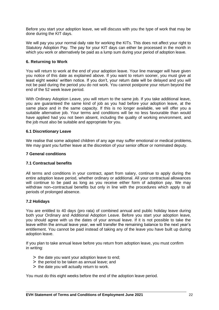Before you start your adoption leave, we will discuss with you the type of work that may be done during the KIT days.

We will pay you your normal daily rate for working the KITs. This does not affect your right to Statutory Adoption Pay. The pay for your KIT days can either be processed in the month in which you work or alternatively be paid as a lump sum during your period of adoption leave.

#### **6. Returning to Work**

You will return to work at the end of your adoption leave. Your line manager will have given you notice of this date as explained above. If you want to return sooner, you must give at least eight weeks' written notice. If you don't, your return date will be delayed and you will not be paid during the period you do not work. You cannot postpone your return beyond the end of the 52 week leave period.

With Ordinary Adoption Leave, you will return to the same job. If you take additional leave, you are guaranteed the same kind of job as you had before your adoption leave, at the same place and in the same capacity. If this is no longer available, we will offer you a suitable alternative job. Your terms and conditions will be no less favourable than would have applied had you not been absent, including the quality of working environment, and the job must also be suitable and appropriate for you.

#### **6.1 Discretionary Leave**

We realise that some adopted children of any age may suffer emotional or medical problems. We may grant you further leave at the discretion of your senior officer or nominated deputy.

#### **7 General conditions**

#### **7.1 Contractual benefits**

All terms and conditions in your contract, apart from salary, continue to apply during the entire adoption leave period, whether ordinary or additional. All your contractual allowances will continue to be paid as long as you receive either form of adoption pay. We may withdraw non–contractual benefits but only in line with the procedures which apply to all periods of prolonged absence.

#### **7.2 Holidays**

You are entitled to 40 days (pro rata) of combined annual and public holiday leave during both your Ordinary and Additional Adoption Leave. Before you start your adoption leave, you should agree with us the dates of your annual leave. If it is not possible to take the leave within the annual leave year, we will transfer the remaining balance to the next year's entitlement. You cannot be paid instead of taking any of the leave you have built up during adoption leave.

If you plan to take annual leave before you return from adoption leave, you must confirm in writing:

- $>$  the date you want your adoption leave to end;
- > the period to be taken as annual leave; and
- > the date you will actually return to work.

You must do this eight weeks before the end of the adoption leave period.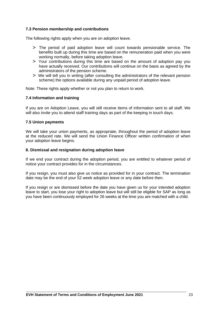#### **7.3 Pension membership and contributions**

The following rights apply when you are on adoption leave.

- > The period of paid adoption leave will count towards pensionable service. The benefits built up during this time are based on the remuneration paid when you were working normally, before taking adoption leave.
- > Your contributions during this time are based on the amount of adoption pay you have actually received. Our contributions will continue on the basis as agreed by the administrators of the pension scheme.
- > We will tell you in writing (after consulting the administrators of the relevant pension scheme) the options available during any unpaid period of adoption leave.

Note: These rights apply whether or not you plan to return to work.

#### **7.4 Information and training**

If you are on Adoption Leave, you will still receive items of information sent to all staff. We will also invite you to attend staff training days as part of the keeping in touch days.

#### **7.5 Union payments**

We will take your union payments, as appropriate, throughout the period of adoption leave at the reduced rate. We will send the Union Finance Officer written confirmation of when your adoption leave begins.

#### **8. Dismissal and resignation during adoption leave**

If we end your contract during the adoption period, you are entitled to whatever period of notice your contract provides for in the circumstances.

If you resign, you must also give us notice as provided for in your contract. The termination date may be the end of your 52 week adoption leave or any date before then.

If you resign or are dismissed before the date you have given us for your intended adoption leave to start, you lose your right to adoption leave but will still be eligible for SAP as long as you have been continuously employed for 26 weeks at the time you are matched with a child.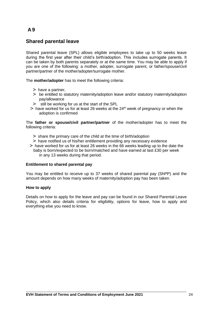### **Shared parental leave**

Shared parental leave (SPL) allows eligible employees to take up to 50 weeks leave during the first year after their child's birth/adoption. This includes surrogate parents. It can be taken by both parents separately or at the same time. You may be able to apply if you are one of the following: a mother, adopter, surrogate parent, or father/spouse/civil partner/partner of the mother/adopter/surrogate mother.

The **mother/adopter** has to meet the following criteria:

- > have a partner,
- > be entitled to statutory maternity/adoption leave and/or statutory maternity/adoption pay/allowance
- > still be working for us at the start of the SPL
- $>$  have worked for us for at least 26 weeks at the 24<sup>th</sup> week of pregnancy or when the adoption is confirmed

The **father or spouse/civil partner/partner** of the mother/adopter has to meet the following criteria:

- > share the primary care of the child at the time of birth/adoption
- > have notified us of his/her entitlement providing any necessary evidence
- > have worked for us for at least 26 weeks in the 66 weeks leading up to the date the baby is born/expected to be born/matched and have earned at last £30 per week in any 13 weeks during that period.

#### **Entitlement to shared parental pay**

You may be entitled to receive up to 37 weeks of shared parental pay (ShPP) and the amount depends on how many weeks of maternity/adoption pay has been taken.

#### **How to apply**

Details on how to apply for the leave and pay can be found in our Shared Parental Leave Policy, which also details criteria for eligibility, options for leave, how to apply and everything else you need to know.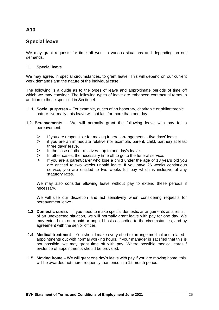### **Special leave**

We may grant requests for time off work in various situations and depending on our demands.

#### **1. Special leave**

We may agree, in special circumstances, to grant leave. This will depend on our current work demands and the nature of the individual case.

The following is a guide as to the types of leave and approximate periods of time off which we may consider. The following types of leave are enhanced contractual terms in addition to those specified in Section 4.

- **1.1 Social purposes**  For example, duties of an honorary, charitable or philanthropic nature. Normally, this leave will not last for more than one day.
- **1.2 Bereavements**  We will normally grant the following leave with pay for a bereavement:
	- > If you are responsible for making funeral arrangements five days' leave.
	- > if you are an immediate relative (for example, parent, child, partner) at least three days' leave.
	- > In the case of other relatives up to one day's leave.
	- > In other cases, the necessary time off to go to the funeral service.
	- If you are a parent/carer who lose a child under the age of 18 years old you are entitled to two weeks unpaid leave. If you have 26 weeks continuous service, you are entitled to two weeks full pay which is inclusive of any statutory rates.

We may also consider allowing leave without pay to extend these periods if necessary.

We will use our discretion and act sensitively when considering requests for bereavement leave.

- **1.3 Domestic stress**  If you need to make special domestic arrangements as a result of an unexpected situation, we will normally grant leave with pay for one day. We may extend this on a paid or unpaid basis according to the circumstances, and by agreement with the senior officer.
- **1.4 Medical treatment**  You should make every effort to arrange medical and related appointments out with normal working hours. If your manager is satisfied that this is not possible, we may grant time off with pay. Where possible medical cards / evidence of appointments should be provided.
- **1.5 Moving home** We will grant one day's leave with pay if you are moving home, this will be awarded not more frequently than once in a 12 month period.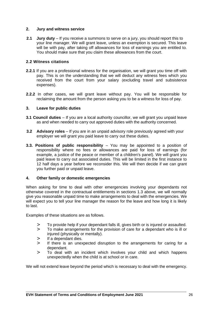#### **2. Jury and witness service**

**2.1 Jury duty** – If you receive a summons to serve on a jury, you should report this to your line manager. We will grant leave, unless an exemption is secured. This leave will be with pay, after taking off allowances for loss of earnings you are entitled to. You should make sure that you claim these allowances from the court.

#### **2.2 Witness citations**

- **2.2.1** If you are a professional witness for the organisation, we will grant you time off with pay. This is on the understanding that we will deduct any witness fees which you received from the court from your salary (excluding travel and subsistence expenses).
- **2.2.2** In other cases, we will grant leave without pay. You will be responsible for reclaiming the amount from the person asking you to be a witness for loss of pay.

#### **3. Leave for public duties**

- **3.1 Council duties**  If you are a local authority councillor, we will grant you unpaid leave as and when needed to carry out approved duties with the authority concerned.
- **3.2 Advisory roles**  If you are in an unpaid advisory role previously agreed with your employer we will grant you paid leave to carry out these duties.
- **3.3. Positions of public responsibility**  You may be appointed to a position of responsibility where no fees or allowances are paid for loss of earnings (for example, a justice of the peace or member of a children's panel). We will grant you paid leave to carry out associated duties. This will be limited in the first instance to 12 half days a year before we reconsider this. We will then decide if we can grant you further paid or unpaid leave.

#### **4. Other family or domestic emergencies**

When asking for time to deal with other emergencies involving your dependants not otherwise covered in the contractual entitlements in sections 1.3 above, we will normally give you reasonable unpaid time to make arrangements to deal with the emergencies. We will expect you to tell your line manager the reason for the leave and how long it is likely to last.

Examples of these situations are as follows.

- > To provide help if your dependant falls ill, gives birth or is injured or assaulted.<br>> To make arrangements for the provision of care for a dependant who is ill or
- To make arrangements for the provision of care for a dependant who is ill or injured (physically or mentally).
- > If a dependant dies.
- > If there is an unexpected disruption to the arrangements for caring for a dependant.
- > To deal with an incident which involves your child and which happens unexpectedly when the child is at school or in care.

We will not extend leave beyond the period which is necessary to deal with the emergency.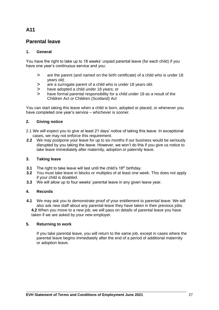### **Parental leave**

#### **1. General**

You have the right to take up to 18 weeks' unpaid parental leave (for each child) if you have one year's continuous service and you:

- > are the parent (and named on the birth certificate) of a child who is under 18 years old;
- > are a surrogate parent of a child who is under 18 years old;
- > have adopted a child under 18 years; or
- > have formal parental responsibility for a child under 18 as a result of the Children Act or Children (Scotland) Act

You can start taking this leave when a child is born, adopted or placed, or whenever you have completed one year's service – whichever is sooner.

#### **2. Giving notice**

- 2.1 We will expect you to give at least 21 days' notice of taking this leave. In exceptional cases, we may not enforce this requirement.
- **2.2** We may postpone your leave for up to six months if our business would be seriously disrupted by you taking the leave. However, we won't do this if you give us notice to take leave immediately after maternity, adoption or paternity leave.

#### **3. Taking leave**

- **3.1** The right to take leave will last until the child's 18<sup>th</sup> birthday.
- **3.2** You must take leave in blocks or multiples of at least one week. This does not apply if your child is disabled.
- **3.3** We will allow up to four weeks' parental leave in any given leave year.

#### **4. Records**

**4.1** We may ask you to demonstrate proof of your entitlement to parental leave. We will also ask new staff about any parental leave they have taken in their previous jobs. **4.2** When you move to a new job, we will pass on details of parental leave you have taken if we are asked by your new employer.

#### **5. Returning to work**

If you take parental leave, you will return to the same job, except in cases where the parental leave begins immediately after the end of a period of additional maternity or adoption leave.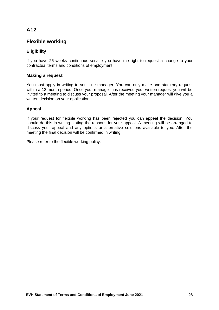### **Flexible working**

### **Eligibility**

If you have 26 weeks continuous service you have the right to request a change to your contractual terms and conditions of employment.

#### **Making a request**

You must apply in writing to your line manager. You can only make one statutory request within a 12 month period. Once your manager has received your written request you will be invited to a meeting to discuss your proposal. After the meeting your manager will give you a written decision on your application.

#### **Appeal**

If your request for flexible working has been rejected you can appeal the decision. You should do this in writing stating the reasons for your appeal. A meeting will be arranged to discuss your appeal and any options or alternative solutions available to you. After the meeting the final decision will be confirmed in writing.

Please refer to the flexible working policy.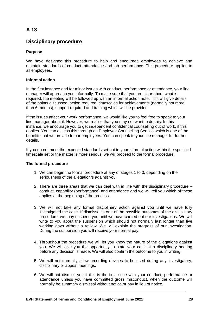### **Disciplinary procedure**

#### **Purpose**

We have designed this procedure to help and encourage employees to achieve and maintain standards of conduct, attendance and job performance. This procedure applies to all employees.

#### **Informal action**

In the first instance and for minor issues with conduct, performance or attendance, your line manager will approach you informally. To make sure that you are clear about what is required, the meeting will be followed up with an informal action note. This will give details of the points discussed, action required, timescales for achievements (normally not more than 6 months), support required and training which will be provided.

If the issues affect your work performance, we would like you to feel free to speak to your line manager about it. However, we realise that you may not want to do this. In this instance, we encourage you to get independent confidential counselling out of work, if this applies. You can access this through an Employee Counselling Service which is one of the benefits that we provide to our employees. You can speak to your line manager for further details.

If you do not meet the expected standards set out in your informal action within the specified timescale set or the matter is more serious, we will proceed to the formal procedure:

#### **The formal procedure**

- 1. We can begin the formal procedure at any of stages 1 to 3, depending on the seriousness of the allegation/s against you.
- 2. There are three areas that we can deal with in line with the disciplinary procedure conduct, capability (performance) and attendance and we will tell you which of these applies at the beginning of the process.
- 3. We will not take any formal disciplinary action against you until we have fully investigated the case. If dismissal is one of the possible outcomes of the disciplinary procedure, we may suspend you until we have carried out our investigations. We will write to you about the suspension which should not normally last longer than five working days without a review. We will explain the progress of our investigation. During the suspension you will receive your normal pay.
- 4. Throughout the procedure we will let you know the nature of the allegations against you. We will give you the opportunity to state your case at a disciplinary hearing before any decision is made. We will also confirm the outcome to you in writing.
- 5. We will not normally allow recording devices to be used during any investigatory, disciplinary or appeal meetings.
- 6. We will not dismiss you if this is the first issue with your conduct, performance or attendance unless you have committed gross misconduct, when the outcome will normally be summary dismissal without notice or pay in lieu of notice.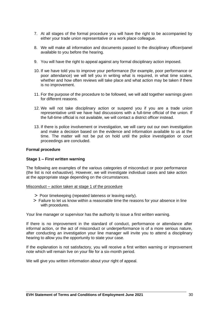- 7. At all stages of the formal procedure you will have the right to be accompanied by either your trade union representative or a work place colleague.
- 8. We will make all information and documents passed to the disciplinary officer/panel available to you before the hearing.
- 9. You will have the right to appeal against any formal disciplinary action imposed.
- 10. If we have told you to improve your performance (for example, poor performance or poor attendance) we will tell you in writing what is required, in what time scales, whether and how often reviews will take place and what action may be taken if there is no improvement.
- 11. For the purpose of the procedure to be followed, we will add together warnings given for different reasons.
- 12. We will not take disciplinary action or suspend you if you are a trade union representative until we have had discussions with a full-time official of the union. If the full-time official is not available, we will contact a district officer instead.
- 13. If there is police involvement or investigation, we will carry out our own investigation and make a decision based on the evidence and information available to us at the time. The matter will not be put on hold until the police investigation or court proceedings are concluded.

#### **Formal procedure**

#### **Stage 1 – First written warning**

The following are examples of the various categories of misconduct or poor performance (the list is not exhaustive). However, we will investigate individual cases and take action at the appropriate stage depending on the circumstances.

#### Misconduct – action taken at stage 1 of the procedure

- > Poor timekeeping (repeated lateness or leaving early).
- > Failure to let us know within a reasonable time the reasons for your absence in line with procedures.

Your line manager or supervisor has the authority to issue a first written warning.

If there is no improvement in the standard of conduct, performance or attendance after informal action, or the act of misconduct or underperformance is of a more serious nature, after conducting an investigation your line manager will invite you to attend a disciplinary hearing to allow you the opportunity to state your case.

If the explanation is not satisfactory, you will receive a first written warning or improvement note which will remain live on your file for a six-month period.

We will give you written information about your right of appeal.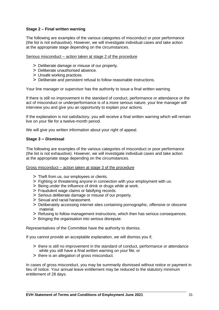#### **Stage 2 – Final written warning**

The following are examples of the various categories of misconduct or poor performance (the list is not exhaustive). However, we will investigate individual cases and take action at the appropriate stage depending on the circumstances.

#### Serious misconduct *–* action taken at stage 2 of the procedure

- > Deliberate damage or misuse of our property.
- > Deliberate unauthorised absence.
- > Unsafe working practices.
- > Deliberate and persistent refusal to follow reasonable instructions.

Your line manager or supervisor has the authority to issue a final written warning.

If there is still no improvement in the standard of conduct, performance or attendance or the act of misconduct or underperformance is of a more serious nature, your line manager will interview you and give you an opportunity to explain your actions.

If the explanation is not satisfactory, you will receive a final written warning which will remain live on your file for a twelve-month period.

We will give you written information about your right of appeal.

#### **Stage 3** *–* **Dismissal**

The following are examples of the various categories of misconduct or poor performance (the list is not exhaustive). However, we will investigate individual cases and take action at the appropriate stage depending on the circumstances.

#### Gross misconduct *–* action taken at stage 3 of the procedure

- > Theft from us, our employees or clients.
- > Fighting or threatening anyone in connection with your employment with us.
- > Being under the influence of drink or drugs while at work.
- > Fraudulent wage claims or falsifying records.
- > Serious deliberate damage or misuse of our property.
- > Sexual and racial harassment.
- > Deliberately accessing internet sites containing pornographic, offensive or obscene material.
- > Refusing to follow management instructions, which then has serious consequences.
- > Bringing the organisation into serious disrepute.

Representatives of the Committee have the authority to dismiss.

If you cannot provide an acceptable explanation, we will dismiss you if,

- > there is still no improvement in the standard of conduct, performance or attendance while you still have a final written warning on your file; or
- > there is an allegation of gross misconduct.

In cases of gross misconduct, you may be summarily dismissed without notice or payment in lieu of notice. Your annual leave entitlement may be reduced to the statutory minimum entitlement of 28 days.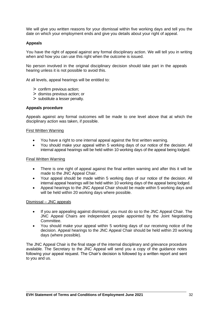We will give you written reasons for your dismissal within five working days and tell you the date on which your employment ends and give you details about your right of appeal.

#### **Appeals**

You have the right of appeal against any formal disciplinary action. We will tell you in writing when and how you can use this right when the outcome is issued.

No person involved in the original disciplinary decision should take part in the appeals hearing unless it is not possible to avoid this.

At all levels, appeal hearings will be entitled to:

- > confirm previous action;
- > dismiss previous action; or
- > substitute a lesser penalty.

#### **Appeals procedure**

Appeals against any formal outcomes will be made to one level above that at which the disciplinary action was taken, if possible.

#### **First Written Warning**

- You have a right to one internal appeal against the first written warning.
- You should make your appeal within 5 working days of our notice of the decision. All internal appeal hearings will be held within 10 working days of the appeal being lodged.

#### Final Written Warning

- There is one right of appeal against the final written warning and after this it will be made to the JNC Appeal Chair.
- Your appeal should be made within 5 working days of our notice of the decision. All internal appeal hearings will be held within 10 working days of the appeal being lodged.
- Appeal hearings to the JNC Appeal Chair should be made within 5 working days and will be held within 20 working days where possible.

#### Dismissal – JNC appeals

- If you are appealing against dismissal, you must do so to the JNC Appeal Chair. The JNC Appeal Chairs are independent people appointed by the Joint Negotiating Committee.
- You should make your appeal within 5 working days of our receiving notice of the decision. Appeal hearings to the JNC Appeal Chair should be held within 20 working days (where possible).

The JNC Appeal Chair is the final stage of the internal disciplinary and grievance procedure available. The Secretary to the JNC Appeal will send you a copy of the guidance notes following your appeal request. The Chair's decision is followed by a written report and sent to you and us.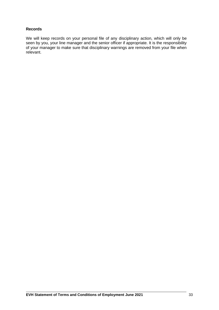#### **Records**

We will keep records on your personal file of any disciplinary action, which will only be seen by you, your line manager and the senior officer if appropriate. It is the responsibility of your manager to make sure that disciplinary warnings are removed from your file when relevant.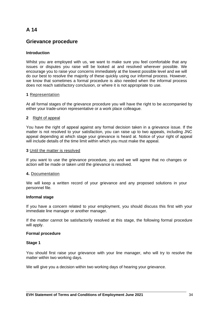### **Grievance procedure**

#### **Introduction**

Whilst you are employed with us, we want to make sure you feel comfortable that any issues or disputes you raise will be looked at and resolved wherever possible. We encourage you to raise your concerns immediately at the lowest possible level and we will do our best to resolve the majority of these quickly using our informal process. However, we know that sometimes a formal procedure is also needed when the informal process does not reach satisfactory conclusion, or where it is not appropriate to use.

#### **1** Representation

At all formal stages of the grievance procedure you will have the right to be accompanied by either your trade-union representative or a work place colleague.

#### **2** Right of appeal

You have the right of appeal against any formal decision taken in a grievance issue. If the matter is not resolved to your satisfaction, you can raise up to two appeals, including JNC appeal depending at which stage your grievance is heard at. Notice of your right of appeal will include details of the time limit within which you must make the appeal.

#### **3** Until the matter is resolved

If you want to use the grievance procedure, you and we will agree that no changes or action will be made or taken until the grievance is resolved.

#### **4.** Documentation

We will keep a written record of your grievance and any proposed solutions in your personnel file.

#### **Informal stage**

If you have a concern related to your employment, you should discuss this first with your immediate line manager or another manager.

If the matter cannot be satisfactorily resolved at this stage, the following formal procedure will apply.

#### **Formal procedure**

#### **Stage 1**

You should first raise your grievance with your line manager, who will try to resolve the matter within two working days.

We will give you a decision within two working days of hearing your grievance.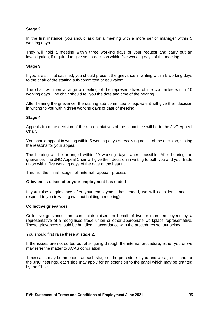#### **Stage 2**

In the first instance, you should ask for a meeting with a more senior manager within 5 working days.

They will hold a meeting within three working days of your request and carry out an investigation, if required to give you a decision within five working days of the meeting.

#### **Stage 3**

If you are still not satisfied, you should present the grievance in writing within 5 working days to the chair of the staffing sub-committee or equivalent.

The chair will then arrange a meeting of the representatives of the committee within 10 working days. The chair should tell you the date and time of the hearing.

After hearing the grievance, the staffing sub-committee or equivalent will give their decision in writing to you within three working days of date of meeting.

#### **Stage 4**

Appeals from the decision of the representatives of the committee will be to the JNC Appeal Chair.

You should appeal in writing within 5 working days of receiving notice of the decision, stating the reasons for your appeal.

The hearing will be arranged within 20 working days, where possible. After hearing the grievance, The JNC Appeal Chair will give their decision in writing to both you and your trade union within five working days of the date of the hearing.

This is the final stage of internal appeal process.

#### **Grievances raised after your employment has ended**

If you raise a grievance after your employment has ended, we will consider it and respond to you in writing (without holding a meeting).

#### **Collective grievances**

Collective grievances are complaints raised on behalf of two or more employees by a representative of a recognised trade union or other appropriate workplace representative. These grievances should be handled in accordance with the procedures set out below.

You should first raise these at stage 2.

If the issues are not sorted out after going through the internal procedure, either you or we may refer the matter to ACAS conciliation.

Timescales may be amended at each stage of the procedure if you and we agree – and for the JNC hearings, each side may apply for an extension to the panel which may be granted by the Chair.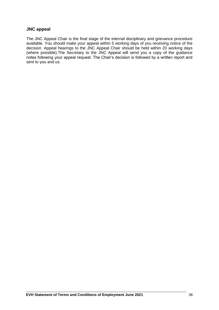#### **JNC appeal**

The JNC Appeal Chair is the final stage of the internal disciplinary and grievance procedure available. You should make your appeal within 5 working days of you receiving notice of the decision. Appeal hearings to the JNC Appeal Chair should be held within 20 working days (where possible).The Secretary to the JNC Appeal will send you a copy of the guidance notes following your appeal request. The Chair's decision is followed by a written report and sent to you and us.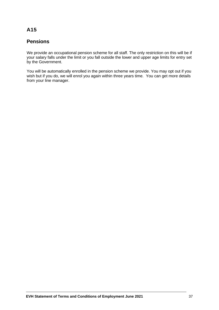### **Pensions**

We provide an occupational pension scheme for all staff. The only restriction on this will be if your salary falls under the limit or you fall outside the lower and upper age limits for entry set by the Government.

You will be automatically enrolled in the pension scheme we provide. You may opt out if you wish but if you do, we will enrol you again within three years time. You can get more details from your line manager.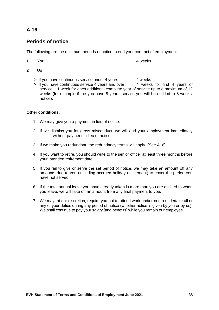### **Periods of notice**

The following are the minimum periods of notice to end your contract of employment.

- **1** You **4** weeks
- **2** Us
	- $>$  If you have continuous service under 4 years  $4$  weeks
	- $>$  If you have continuous service 4 years and over  $\frac{1}{4}$  weeks for first 4 years of service + 1 week for each additional complete year of service up to a maximum of 12 weeks (for example if the you have 8 years' service you will be entitled to 8 weeks' notice).

#### **Other conditions:**

- 1. We may give you a payment in lieu of notice.
- 2. If we dismiss you for gross misconduct, we will end your employment immediately without payment in lieu of notice.
- 3. If we make you redundant, the redundancy terms will apply. (See A16)
- 4. If you want to retire, you should write to the senior officer at least three months before your intended retirement date.
- 5. If you fail to give or serve the set period of notice, we may take an amount off any amounts due to you (including accrued holiday entitlement) to cover the period you have not served.
- 6. If the total annual leave you have already taken is more than you are entitled to when you leave, we will take off an amount from any final payment to you.
- 7. We may, at our discretion, require you not to attend work and/or not to undertake all or any of your duties during any period of notice (whether notice is given by you or by us). We shall continue to pay your salary [and benefits] while you remain our employee.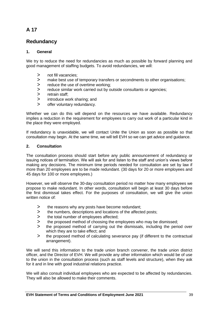### **Redundancy**

#### **1. General**

We try to reduce the need for redundancies as much as possible by forward planning and good management of staffing budgets. To avoid redundancies, we will:

- > not fill vacancies:
- > make best use of temporary transfers or secondments to other organisations;<br>> reduce the use of overtime working:
- reduce the use of overtime working;
- > reduce similar work carried out by outside consultants or agencies;<br>> retrain staff
- > retrain staff;<br>> introduce wo
- introduce work sharing; and
- > offer voluntary redundancy.

Whether we can do this will depend on the resources we have available. Redundancy implies a reduction in the requirement for employees to carry out work of a particular kind in the place they were employed.

If redundancy is unavoidable, we will contact Unite the Union as soon as possible so that consultation may begin. At the same time, we will tell EVH so we can get advice and guidance.

#### **2. Consultation**

The consultation process should start before any public announcement of redundancy or issuing notices of termination. We will ask for and listen to the staff and union's views before making any decisions. The minimum time periods needed for consultation are set by law if more than 20 employees are to be made redundant. (30 days for 20 or more employees and 45 days for 100 or more employees.)

However, we will observe the 30-day consultation period no matter how many employees we propose to make redundant. In other words, consultation will begin at least 30 days before the first dismissal takes effect. For the purposes of consultation, we will give the union written notice of:

- > the reasons why any posts have become redundant;
- > the numbers, descriptions and locations of the affected posts;
- > the total number of employees affected;
- > the proposed method of choosing the employees who may be dismissed;
- > the proposed method of carrying out the dismissals, including the period over which they are to take effect; and
- > the proposed method of calculating severance pay (if different to the contractual arrangement).

We will send this information to the trade union branch convener, the trade union district officer, and the Director of EVH. We will provide any other information which would be of use to the union in the consultation process (such as staff levels and structure), when they ask for it and in line with good industrial relations practice.

We will also consult individual employees who are expected to be affected by redundancies. They will also be allowed to make their comments.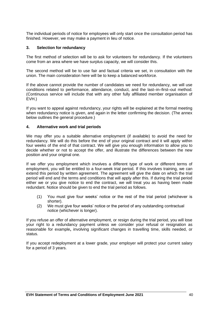The individual periods of notice for employees will only start once the consultation period has finished. However, we may make a payment in lieu of notice.

#### **3. Selection for redundancy**

The first method of selection will be to ask for volunteers for redundancy. If the volunteers come from an area where we have surplus capacity, we will consider this.

The second method will be to use fair and factual criteria we set, in consultation with the union. The main consideration here will be to keep a balanced workforce.

If the above cannot provide the number of candidates we need for redundancy, we will use conditions related to performance, attendance, conduct, and the last–in–first–out method. (Continuous service will include that with any other fully affiliated member organisation of EVH.)

If you want to appeal against redundancy, your rights will be explained at the formal meeting when redundancy notice is given, and again in the letter confirming the decision. (The annex below outlines the general procedure.)

#### **4. Alternative work and trial periods**

We may offer you a suitable alternative employment (if available) to avoid the need for redundancy. We will do this before the end of your original contract and it will apply within four weeks of the end of that contract. We will give you enough information to allow you to decide whether or not to accept the offer, and illustrate the differences between the new position and your original one.

If we offer you employment which involves a different type of work or different terms of employment, you will be entitled to a four-week trial period. If this involves training, we can extend this period by written agreement. The agreement will give the date on which the trial period will end and the terms and conditions that will apply after this. If during the trial period either we or you give notice to end the contract, we will treat you as having been made redundant. Notice should be given to end the trial period as follows.

- (1) You must give four weeks' notice or the rest of the trial period (whichever is shorter).
- (2) We must give four weeks' notice or the period of any outstanding contractual notice (whichever is longer).

If you refuse an offer of alternative employment, or resign during the trial period, you will lose your right to a redundancy payment unless we consider your refusal or resignation as reasonable for example**,** involving significant changes in travelling time, skills needed, or status.

If you accept redeployment at a lower grade, your employer will protect your current salary for a period of 3 years.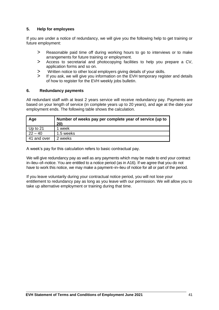#### **5. Help for employees**

If you are under a notice of redundancy, we will give you the following help to get training or future employment:

- > Reasonable paid time off during working hours to go to interviews or to make arrangements for future training or employment.
- > Access to secretarial and photocopying facilities to help you prepare a CV, application forms and so on.
- > Written notice to other local employers giving details of your skills.<br>> If you ask, we will give you information on the EVH temporary regis
- If you ask, we will give you information on the EVH temporary register and details of how to register for the EVH weekly jobs bulletin.

#### **6. Redundancy payments**

All redundant staff with at least 2 years service will receive redundancy pay. Payments are based on your length of service (in complete years up to 20 years), and age at the date your employment ends. The following table shows the calculation.

| Age         | Number of weeks pay per complete year of service (up to<br>20) |
|-------------|----------------------------------------------------------------|
| Up to 21    | week                                                           |
| $22 - 40$   | 1.5 weeks                                                      |
| 41 and over | 2 weeks                                                        |

A week's pay for this calculation refers to basic contractual pay.

We will give redundancy pay as well as any payments which may be made to end your contract in–lieu–of–notice. You are entitled to a notice period (as in A16). If we agree that you do not have to work this notice, we may make a payment–in–lieu of notice for all or part of the period.

If you leave voluntarily during your contractual notice period, you will not lose your entitlement to redundancy pay as long as you leave with our permission. We will allow you to take up alternative employment or training during that time.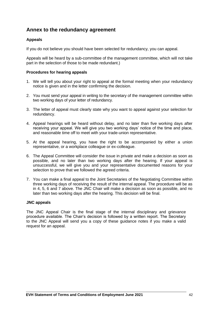### **Annex to the redundancy agreement**

#### **Appeals**

If you do not believe you should have been selected for redundancy, you can appeal.

Appeals will be heard by a sub-committee of the management committee, which will not take part in the selection of those to be made redundant.)

#### **Procedures for hearing appeals**

- 1. We will tell you about your right to appeal at the formal meeting when your redundancy notice is given and in the letter confirming the decision.
- 2. You must send your appeal in writing to the secretary of the management committee within two working days of your letter of redundancy.
- 3. The letter of appeal must clearly state why you want to appeal against your selection for redundancy.
- 4. Appeal hearings will be heard without delay, and no later than five working days after receiving your appeal. We will give you two working days' notice of the time and place, and reasonable time off to meet with your trade-union representative.
- 5. At the appeal hearing, you have the right to be accompanied by either a union representative, or a workplace colleague or ex-colleague.
- 6. The Appeal Committee will consider the issue in private and make a decision as soon as possible, and no later than two working days after the hearing. If your appeal is unsuccessful, we will give you and your representative documented reasons for your selection to prove that we followed the agreed criteria.
- 7. You can make a final appeal to the Joint Secretaries of the Negotiating Committee within three working days of receiving the result of the internal appeal. The procedure will be as in 4, 5, 6 and 7 above. The JNC Chair will make a decision as soon as possible, and no later than two working days after the hearing. This decision will be final.

#### **JNC appeals**

The JNC Appeal Chair is the final stage of the internal disciplinary and grievance procedure available. The Chair's decision is followed by a written report. The Secretary to the JNC Appeal will send you a copy of these guidance notes if you make a valid request for an appeal.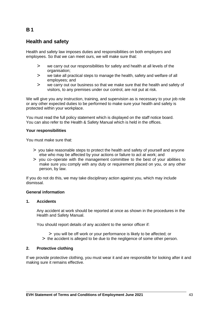### **B 1**

### **Health and safety**

Health and safety law imposes duties and responsibilities on both employers and employees. So that we can meet ours, we will make sure that:

- > we carry out our responsibilities for safety and health at all levels of the organisation;
- > we take all practical steps to manage the health, safety and welfare of all employees; and
- > we carry out our business so that we make sure that the health and safety of visitors, to any premises under our control, are not put at risk.

We will give you any instruction, training, and supervision as is necessary to your job role or any other expected duties to be performed to make sure your health and safety is protected within your workplace.

You must read the full policy statement which is displayed on the staff notice board. You can also refer to the Health & Safety Manual which is held in the offices.

#### **Your responsibilities**

You must make sure that:

- > you take reasonable steps to protect the health and safety of yourself and anyone else who may be affected by your actions or failure to act at work; and
- > you co–operate with the management committee to the best of your abilities to make sure you comply with any duty or requirement placed on you, or any other person, by law.

If you do not do this, we may take disciplinary action against you, which may include dismissal.

#### **General information**

#### **1. Accidents**

Any accident at work should be reported at once as shown in the procedures in the Health and Safety Manual.

You should report details of any accident to the senior officer if:

- > you will be off work or your performance is likely to be affected; or
- > the accident is alleged to be due to the negligence of some other person.

#### **2. Protective clothing**

If we provide protective clothing, you must wear it and are responsible for looking after it and making sure it remains effective.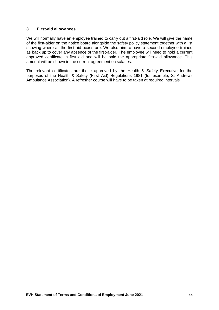#### **3. First-aid allowances**

We will normally have an employee trained to carry out a first-aid role. We will give the name of the first-aider on the notice board alongside the safety policy statement together with a list showing where all the first-aid boxes are. We also aim to have a second employee trained as back up to cover any absence of the first-aider. The employee will need to hold a current approved certificate in first aid and will be paid the appropriate first-aid allowance. This amount will be shown in the current agreement on salaries.

The relevant certificates are those approved by the Health & Safety Executive for the purposes of the Health & Safety (First–Aid) Regulations 1981 (for example, St Andrews Ambulance Association). A refresher course will have to be taken at required intervals.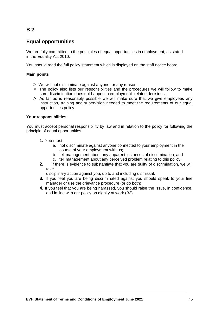### **B 2**

### **Equal opportunities**

We are fully committed to the principles of equal opportunities in employment, as stated in the Equality Act 2010.

You should read the full policy statement which is displayed on the staff notice board.

#### **Main points**

- > We will not discriminate against anyone for any reason.
- > The policy also lists our responsibilities and the procedures we will follow to make sure discrimination does not happen in employment–related decisions.
- > As far as is reasonably possible we will make sure that we give employees any instruction, training and supervision needed to meet the requirements of our equal opportunities policy.

#### **Your responsibilities**

You must accept personal responsibility by law and in relation to the policy for following the principle of equal opportunities.

- **1.** You must:
	- a. not discriminate against anyone connected to your employment in the course of your employment with us;
	- b. tell management about any apparent instances of discrimination; and
	- c. tell management about any perceived problem relating to this policy.
- **2.** If there is evidence to substantiate that you are guilty of discrimination, we will take

disciplinary action against you, up to and including dismissal.

- **3.** If you feel you are being discriminated against you should speak to your line manager or use the grievance procedure (or do both).
- **4.** If you feel that you are being harassed, you should raise the issue, in confidence, and in line with our policy on dignity at work (B3).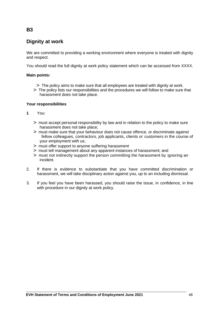## **Dignity at work**

We are committed to providing a working environment where everyone is treated with dignity and respect.

You should read the full dignity at work policy statement which can be accessed from XXXX.

#### **Main points:**

- > The policy aims to make sure that all employees are treated with dignity at work.
- > The policy lists our responsibilities and the procedures we will follow to make sure that harassment does not take place.

#### **Your responsibilities**

- **1** You:
	- > must accept personal responsibility by law and in relation to the policy to make sure harassment does not take place;
	- > must make sure that your behaviour does not cause offence, or discriminate against fellow colleagues, contractors, job applicants, clients or customers in the course of your employment with us;
	- > must offer support to anyone suffering harassment
	- > must tell management about any apparent instances of harassment; and
	- > must not indirectly support the person committing the harassment by ignoring an incident.
- 2. If there is evidence to substantiate that you have committed discrimination or harassment, we will take disciplinary action against you, up to an including dismissal.
- 3. If you feel you have been harassed, you should raise the issue, in confidence, in line with procedure in our dignity at work policy.

#### **EVH Statement of Terms and Conditions of Employment June 2021** 46

#### **B3**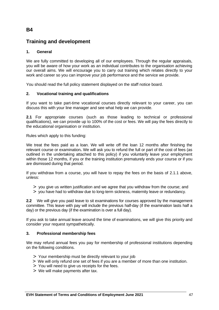### **B4**

### **Training and development**

#### **1. General**

We are fully committed to developing all of our employees. Through the regular appraisals, you will be aware of how your work as an individual contributes to the organisation achieving our overall aims. We will encourage you to carry out training which relates directly to your work and career so you can improve your job performance and the service we provide.

You should read the full policy statement displayed on the staff notice board.

#### **2. Vocational training and qualifications**

If you want to take part-time vocational courses directly relevant to your career, you can discuss this with your line manager and see what help we can provide.

**2.1** For appropriate courses (such as those leading to technical or professional qualifications), we can provide up to 100% of the cost or fees. We will pay the fees directly to the educational organisation or institution.

Rules which apply to this funding:

We treat the fees paid as a loan. We will write off the loan 12 months after finishing the relevant course or examination**.** We will ask you to refund the full or part of the cost of fees (as outlined in the undertaking attached to this policy) if you voluntarily leave your employment within those 12 months, if you or the training institution prematurely ends your course or if you are dismissed during that period.

If you withdraw from a course, you will have to repay the fees on the basis of 2.1.1 above, unless:

- > you give us written justification and we agree that you withdraw from the course; and
- > you have had to withdraw due to long-term sickness, maternity leave or redundancy.

**2.2** We will give you paid leave to sit examinations for courses approved by the management committee. This leave with pay will include the previous half-day (if the examination lasts half a day) or the previous day (if the examination is over a full day).

If you ask to take annual leave around the time of examinations, we will give this priority and consider your request sympathetically.

#### **3. Professional membership fees**

We may refund annual fees you pay for membership of professional institutions depending on the following conditions.

- > Your membership must be directly relevant to your job
- > We will only refund one set of fees if you are a member of more than one institution.
- > You will need to give us receipts for the fees.
- > We will make payments after tax.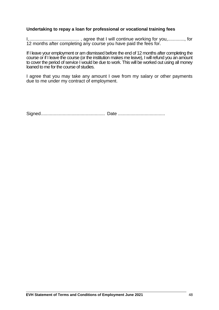#### **Undertaking to repay a loan for professional or vocational training fees**

I,....................................... , agree that I will continue working for you,............., for 12 months after completing any course you have paid the fees for.

If I leave your employment or am dismissed before the end of 12 months after completing the course or if I leave the course (or the institution makes me leave), I will refund you an amount to cover the period of service I would be due to work. This will be worked out using all money loaned to me for the course of studies.

I agree that you may take any amount I owe from my salary or other payments due to me under my contract of employment.

Signed.................................................. Date .....................................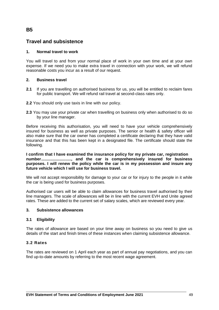### **B5**

### **Travel and subsistence**

#### **1. Normal travel to work**

You will travel to and from your normal place of work in your own time and at your own expense. If we need you to make extra travel in connection with your work, we will refund reasonable costs you incur as a result of our request.

#### **2. Business travel**

- **2.1** If you are travelling on authorised business for us, you will be entitled to reclaim fares for public transport. We will refund rail travel at second-class rates only.
- **2.2** You should only use taxis in line with our policy.
- **2.3** You may use your private car when travelling on business only when authorised to do so by your line manager.

Before receiving this authorisation, you will need to have your vehicle comprehensively insured for business as well as private purposes. The senior or health & safety officer will also make sure that the car owner has completed a certificate declaring that they have valid insurance and that this has been kept in a designated file. The certificate should state the following.

**I confirm that I have examined the insurance policy for my private car, registration number.........................., and the car is comprehensively insured for business purposes. I will renew the policy while the car is in my possession and insure any future vehicle which I will use for business travel.**

We will not accept responsibility for damage to your car or for injury to the people in it while the car is being used for business purposes.

Authorised car users will be able to claim allowances for business travel authorised by their line managers. The scale of allowances will be in line with the current EVH and Unite agreed rates. These are added to the current set of salary scales, which are reviewed every year.

#### **3. Subsistence allowances**

#### **3.1 Eligibility**

The rates of allowance are based on your time away on business so you need to give us details of the start and finish times of these instances when claiming subsistence allowance.

#### **3.2 Rates**

The rates are reviewed on 1 April each year as part of annual pay negotiations, and you can find up-to-date amounts by referring to the most recent wage agreement.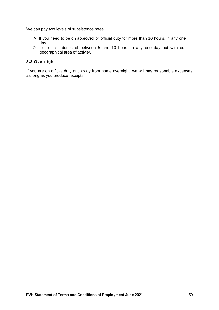We can pay two levels of subsistence rates.

- > If you need to be on approved or official duty for more than 10 hours, in any one day.
- > For official duties of between 5 and 10 hours in any one day out with our geographical area of activity.

#### **3.3 Overnight**

If you are on official duty and away from home overnight, we will pay reasonable expenses as long as you produce receipts.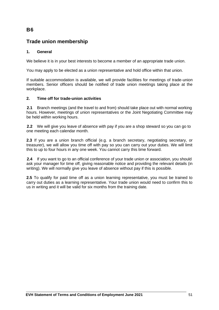### **B6**

### **Trade union membership**

#### **1. General**

We believe it is in your best interests to become a member of an appropriate trade union.

You may apply to be elected as a union representative and hold office within that union.

If suitable accommodation is available, we will provide facilities for meetings of trade-union members. Senior officers should be notified of trade union meetings taking place at the workplace.

#### **2. Time off for trade-union activities**

**2.1** Branch meetings (and the travel to and from) should take place out with normal working hours. However, meetings of union representatives or the Joint Negotiating Committee may be held within working hours.

**2.2** We will give you leave of absence with pay if you are a shop steward so you can go to one meeting each calendar month.

**2.3** If you are a union branch official (e.g. a branch secretary, negotiating secretary, or treasurer), we will allow you time off with pay so you can carry out your duties. We will limit this to up to four hours in any one week. You cannot carry this time forward.

**2.4** If you want to go to an official conference of your trade union or association, you should ask your manager for time off, giving reasonable notice and providing the relevant details (in writing). We will normally give you leave of absence without pay if this is possible.

**2.5** To qualify for paid time off as a union learning representative, you must be trained to carry out duties as a learning representative. Your trade union would need to confirm this to us in writing and it will be valid for six months from the training date.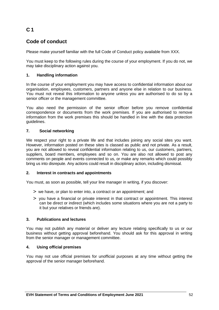### **C 1**

### **Code of conduct**

Please make yourself familiar with the full Code of Conduct policy available from XXX.

You must keep to the following rules during the course of your employment. If you do not, we may take disciplinary action against you.

#### **1. Handling information**

In the course of your employment you may have access to confidential information about our organisation, employees, customers, partners and anyone else in relation to our business. You must not reveal this information to anyone unless you are authorised to do so by a senior officer or the management committee.

You also need the permission of the senior officer before you remove confidential correspondence or documents from the work premises. If you are authorised to remove information from the work premises this should be handled in line with the data protection guidelines.

#### **7. Social networking**

We respect your right to a private life and that includes joining any social sites you want. However, information posted on these sites is classed as public and not private. As a result, you are not allowed to reveal confidential information relating to us, our customers, partners, suppliers, board members, employees and so on. You are also not allowed to post any comments on people and events connected to us, or make any remarks which could possibly bring us into disrepute. Any actions could result in disciplinary action, including dismissal.

#### **2. Interest in contracts and appointments**

You must, as soon as possible, tell your line manager in writing, if you discover:

- > we have, or plan to enter into, a contract or an appointment; and
- > you have a financial or private interest in that contract or appointment. This interest can be direct or indirect (which includes some situations where you are not a party to it but your relatives or friends are).

#### **3. Publications and lectures**

You may not publish any material or deliver any lecture relating specifically to us or our business without getting approval beforehand. You should ask for this approval in writing from the senior manager or management committee.

#### **4. Using official premises**

You may not use official premises for unofficial purposes at any time without getting the approval of the senior manager beforehand.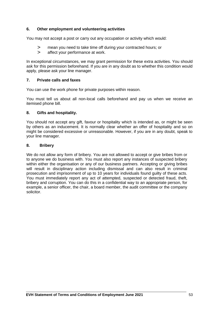#### **6. Other employment and volunteering activities**

You may not accept a post or carry out any occupation or activity which would:

- > mean you need to take time off during your contracted hours; or
- > affect your performance at work.

In exceptional circumstances, we may grant permission for these extra activities. You should ask for this permission beforehand. If you are in any doubt as to whether this condition would apply, please ask your line manager.

#### **7. Private calls and faxes**

You can use the work phone for private purposes within reason.

You must tell us about all non-local calls beforehand and pay us when we receive an itemised phone bill.

#### **8. Gifts and hospitality.**

You should not accept any gift, favour or hospitality which is intended as, or might be seen by others as an inducement. It is normally clear whether an offer of hospitality and so on might be considered excessive or unreasonable. However, if you are in any doubt, speak to your line manager.

#### **8. Bribery**

We do not allow any form of bribery. You are not allowed to accept or give bribes from or to anyone we do business with. You must also report any instances of suspected bribery within either the organisation or any of our business partners. Accepting or giving bribes will result in disciplinary action including dismissal and can also result in criminal prosecution and imprisonment of up to 10 years for individuals found guilty of these acts. You must immediately report any act of attempted, suspected or detected fraud, theft, bribery and corruption. You can do this in a confidential way to an appropriate person, for example, a senior officer, the chair, a board member, the audit committee or the company solicitor.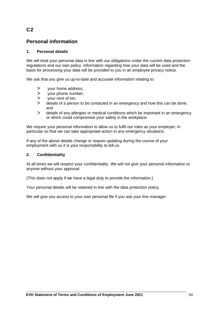### **C2**

### **Personal information**

#### **1. Personal details**

We will treat your personal data in line with our obligations under the current data protection regulations and our own policy. Information regarding how your data will be used and the basis for processing your data will be provided to you in an employee privacy notice.

We ask that you give us up-to-date and accurate information relating to:

- > your home address;
- > your phone number;
- > your next of kin;
- > details of a person to be contacted in an emergency and how this can be done; and
- > details of any allergies or medical conditions which be important in an emergency or which could compromise your safety in the workplace.

We require your personal information to allow us to fulfil our roles as your employer, in particular so that we can take appropriate action in any emergency situations.

If any of the above details change or require updating during the course of your employment with us it is your responsibility to tell us.

#### **2. Confidentiality**

At all times we will respect your confidentiality. We will not give your personal information to anyone without your approval.

(This does not apply if we have a legal duty to provide the information.)

Your personal details will be retained in line with the data protection policy.

We will give you access to your own personal file if you ask your line manager.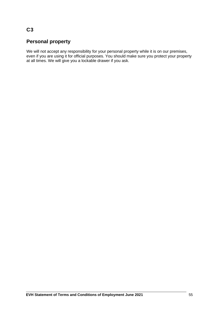### **C3**

### **Personal property**

We will not accept any responsibility for your personal property while it is on our premises, even if you are using it for official purposes. You should make sure you protect your property at all times. We will give you a lockable drawer if you ask.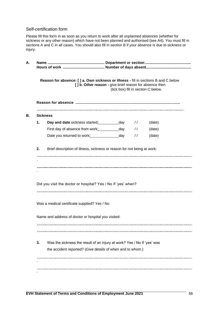#### Self-certification form

Please fill this form in as soon as you return to work after all unplanned absences (whether for sickness or any other reason) which have not been planned and authorised (see A4). You must fill in sections A and C in all cases. You should also fill in section B if your absence is due to sickness or injury.

| Reason for absence: [ ] a. Own sickness or illness - fill in sections B and C below<br>[] b. Other reason - give brief reason for absence then<br>(tick box) fill in section C below. |                                                                                                                                       |     |               |        |  |
|---------------------------------------------------------------------------------------------------------------------------------------------------------------------------------------|---------------------------------------------------------------------------------------------------------------------------------------|-----|---------------|--------|--|
|                                                                                                                                                                                       |                                                                                                                                       |     |               |        |  |
|                                                                                                                                                                                       | <b>Sickness</b>                                                                                                                       |     |               |        |  |
| 1.                                                                                                                                                                                    | Day and date sickness started: ______________ day                                                                                     |     | $\frac{1}{2}$ | (date) |  |
|                                                                                                                                                                                       | First day of absence from work:                                                                                                       | day | $\frac{1}{2}$ | (date) |  |
|                                                                                                                                                                                       | Date you returned to work:                                                                                                            | day | $\frac{1}{2}$ | (date) |  |
| 2.                                                                                                                                                                                    | Brief description of illness, sickness or reason for not being at work:                                                               |     |               |        |  |
|                                                                                                                                                                                       |                                                                                                                                       |     |               |        |  |
|                                                                                                                                                                                       |                                                                                                                                       |     |               |        |  |
|                                                                                                                                                                                       |                                                                                                                                       |     |               |        |  |
|                                                                                                                                                                                       |                                                                                                                                       |     |               |        |  |
|                                                                                                                                                                                       |                                                                                                                                       |     |               |        |  |
|                                                                                                                                                                                       | Did you visit the doctor or hospital? Yes / No If 'yes' when?                                                                         |     |               |        |  |
|                                                                                                                                                                                       |                                                                                                                                       |     |               |        |  |
|                                                                                                                                                                                       |                                                                                                                                       |     |               |        |  |
|                                                                                                                                                                                       | Was a medical certificate supplied? Yes / No                                                                                          |     |               |        |  |
|                                                                                                                                                                                       | Name and address of doctor or hospital you visited:                                                                                   |     |               |        |  |
|                                                                                                                                                                                       |                                                                                                                                       |     |               |        |  |
|                                                                                                                                                                                       |                                                                                                                                       |     |               |        |  |
|                                                                                                                                                                                       |                                                                                                                                       |     |               |        |  |
| 3.                                                                                                                                                                                    | Was the sickness the result of an injury at work? Yes / No If 'yes' was<br>the accident reported? (Give details of when and to whom.) |     |               |        |  |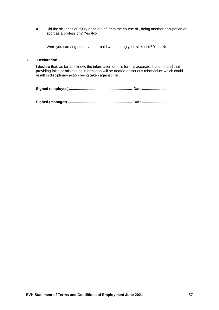**4.** Did the sickness or injury arise out of, or in the course of , doing another occupation or sport as a profession? Yes /No

Were you carrying out any other paid work during your sickness? Yes / No

#### **C. Declaration**

I declare that, as far as I know, the information on this form is accurate. I understand that providing false or misleading information will be treated as serious misconduct which could result in disciplinary action being taken against me.

**Signed (employee).............................................................. Date ...........................**

**Signed (manager) ............................................................... Date ...........................**